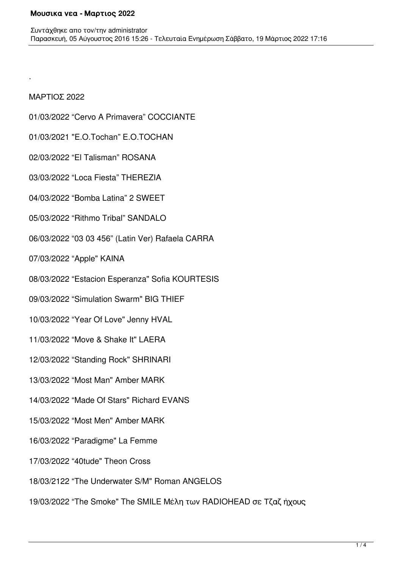## ΜΑΡΤΙΟΣ 2022

.

- 01/03/2022 "Cervo A Primavera" COCCIANTE
- 01/03/2021 "E.O.Tochan" E.O.TOCHAN
- 02/03/2022 "El Talisman" ROSANA
- 03/03/2022 "Loca Fiesta" THEREZIA
- 04/03/2022 "Bomba Latina" 2 SWEET
- 05/03/2022 "Rithmo Tribal" SANDALO
- 06/03/2022 "03 03 456" (Latin Ver) Rafaela CARRA
- 07/03/2022 "Apple" KAINA
- 08/03/2022 "Estacion Esperanza" Sofia KOURTESIS
- 09/03/2022 "Simulation Swarm" BIG THIEF
- 10/03/2022 "Year Of Love" Jenny HVAL
- 11/03/2022 "Move & Shake It" LAERA
- 12/03/2022 "Standing Rock" SHRINARI
- 13/03/2022 "Most Man" Amber MARK
- 14/03/2022 "Made Of Stars" Richard EVANS
- 15/03/2022 "Most Men" Amber MARK
- 16/03/2022 "Paradigme" La Femme
- 17/03/2022 "40tude" Theon Cross
- 18/03/2122 "The Underwater S/M" Roman ANGELOS
- 19/03/2022 "The Smoke" The SMILE Μέλη των RADIOHEAD σε Τζαζ ήχους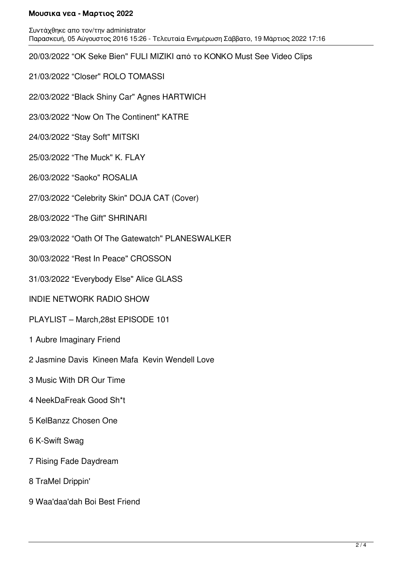## **Μουσικα νεα - Μαρτιος 2022**

Συντάχθηκε απο τον/την administrator Παρασκευή, 05 Αύγουστος 2016 15:26 - Τελευταία Ενημέρωση Σάββατο, 19 Μάρτιος 2022 17:16

20/03/2022 "ΟΚ Seke Bien" FULI MIZIKI από το ΚΟΝΚΟ Must See Video Clips

21/03/2022 "Closer" ROLO TOMASSI

22/03/2022 "Black Shiny Car" Agnes HARTWICH

23/03/2022 "Now On The Continent" KATRE

24/03/2022 "Stay Soft" MITSKI

25/03/2022 "The Muck" K. FLAY

26/03/2022 "Saoko" ROSALIA

27/03/2022 "Celebrity Skin" DOJA CAT (Cover)

28/03/2022 "The Gift" SHRINARI

29/03/2022 "Oath Of The Gatewatch" PLANESWALKER

30/03/2022 "Rest In Peace" CROSSON

31/03/2022 "Everybody Else" Alice GLASS

INDIE NETWORK RADIO SHOW

PLAYLIST – March,28st EPISODE 101

1 Aubre Imaginary Friend

2 Jasmine Davis Kineen Mafa Kevin Wendell Love

3 Music With DR Our Time

4 NeekDaFreak Good Sh\*t

5 KelBanzz Chosen One

6 K-Swift Swag

7 Rising Fade Daydream

8 TraMel Drippin'

9 Waa'daa'dah Boi Best Friend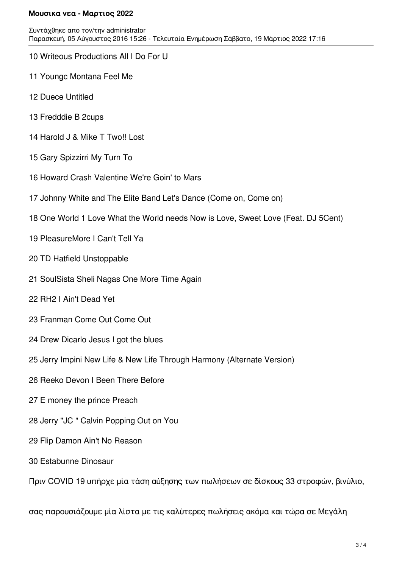## **Μουσικα νεα - Μαρτιος 2022**

- 10 Writeous Productions All I Do For U
- 11 Youngc Montana Feel Me
- 12 Duece Untitled
- 13 Fredddie B 2cups
- 14 Harold J & Mike T Two!! Lost
- 15 Gary Spizzirri My Turn To
- 16 Howard Crash Valentine We're Goin' to Mars
- 17 Johnny White and The Elite Band Let's Dance (Come on, Come on)
- 18 One World 1 Love What the World needs Now is Love, Sweet Love (Feat. DJ 5Cent)
- 19 PleasureMore I Can't Tell Ya
- 20 TD Hatfield Unstoppable
- 21 SoulSista Sheli Nagas One More Time Again
- 22 RH2 I Ain't Dead Yet
- 23 Franman Come Out Come Out
- 24 Drew Dicarlo Jesus I got the blues
- 25 Jerry Impini New Life & New Life Through Harmony (Alternate Version)
- 26 Reeko Devon I Been There Before
- 27 E money the prince Preach
- 28 Jerry "JC " Calvin Popping Out on You
- 29 Flip Damon Ain't No Reason
- 30 Estabunne Dinosaur

Πριν COVID 19 υπήρχε μία τάση αύξησης των πωλήσεων σε δίσκους 33 στροφών, βινύλιο,

σας παρουσιάζουμε μία λίστα με τις καλύτερες πωλήσεις ακόμα και τώρα σε Μεγάλη